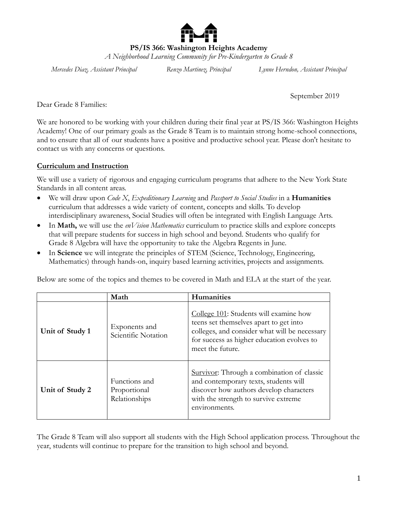

**PS/IS 366: Washington Heights Academy**

*A Neighborhood Learning Community for Pre-Kindergarten to Grade 8*

*Mercedes Diaz, Assistant Principal Renzo Martinez, Principal Lynne Herndon, Assistant Principal*

September 2019

Dear Grade 8 Families:

We are honored to be working with your children during their final year at PS/IS 366: Washington Heights Academy! One of our primary goals as the Grade 8 Team is to maintain strong home-school connections, and to ensure that all of our students have a positive and productive school year. Please don't hesitate to contact us with any concerns or questions.

#### **Curriculum and Instruction**

We will use a variety of rigorous and engaging curriculum programs that adhere to the New York State Standards in all content areas.

- We will draw upon *Code X*, *Expeditionary Learning* and *Passport to Social Studies* in a **Humanities** curriculum that addresses a wide variety of content, concepts and skills. To develop interdisciplinary awareness, Social Studies will often be integrated with English Language Arts.
- In **Math,** we will use the *enVision Mathematics* curriculum to practice skills and explore concepts that will prepare students for success in high school and beyond. Students who qualify for Grade 8 Algebra will have the opportunity to take the Algebra Regents in June.
- In **Science** we will integrate the principles of STEM (Science, Technology, Engineering, Mathematics) through hands-on, inquiry based learning activities, projects and assignments.

Below are some of the topics and themes to be covered in Math and ELA at the start of the year.

|                 | Math                                           | Humanities                                                                                                                                                                                          |
|-----------------|------------------------------------------------|-----------------------------------------------------------------------------------------------------------------------------------------------------------------------------------------------------|
| Unit of Study 1 | Exponents and<br>Scientific Notation           | College 101: Students will examine how<br>teens set themselves apart to get into<br>colleges, and consider what will be necessary<br>for success as higher education evolves to<br>meet the future. |
| Unit of Study 2 | Functions and<br>Proportional<br>Relationships | Survivor: Through a combination of classic<br>and contemporary texts, students will<br>discover how authors develop characters<br>with the strength to survive extreme<br>environments.             |

The Grade 8 Team will also support all students with the High School application process. Throughout the year, students will continue to prepare for the transition to high school and beyond.